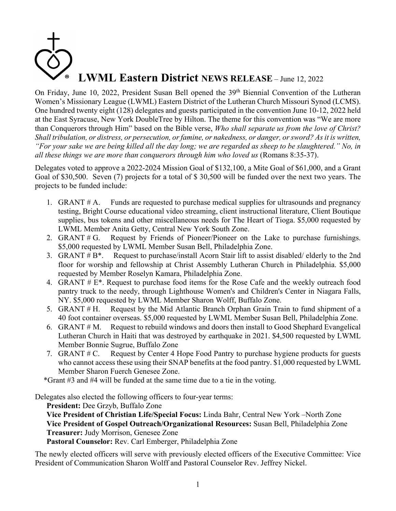## **LWML Eastern District NEWS RELEASE** – June 12, 2022

On Friday, June 10, 2022, President Susan Bell opened the 39<sup>th</sup> Biennial Convention of the Lutheran Women's Missionary League (LWML) Eastern District of the Lutheran Church Missouri Synod (LCMS). One hundred twenty eight (128) delegates and guests participated in the convention June 10-12, 2022 held at the East Syracuse, New York DoubleTree by Hilton. The theme for this convention was "We are more than Conquerors through Him" based on the Bible verse, *Who shall separate us from the love of Christ? Shall tribulation, or distress, or persecution, or famine, or nakedness, or danger, or sword? As it is written, "For your sake we are being killed all the day long; we are regarded as sheep to be slaughtered." No, in all these things we are more than conquerors through him who loved us* (Romans 8:35-37).

Delegates voted to approve a 2022-2024 Mission Goal of \$132,100, a Mite Goal of \$61,000, and a Grant Goal of \$30,500. Seven (7) projects for a total of \$ 30,500 will be funded over the next two years. The projects to be funded include:

- 1. GRANT # A. Funds are requested to purchase medical supplies for ultrasounds and pregnancy testing, Bright Course educational video streaming, client instructional literature, Client Boutique supplies, bus tokens and other miscellaneous needs for The Heart of Tioga. \$5,000 requested by LWML Member Anita Getty, Central New York South Zone.
- 2. GRANT # G. Request by Friends of Pioneer/Pioneer on the Lake to purchase furnishings. \$5,000 requested by LWML Member Susan Bell, Philadelphia Zone.
- 3. GRANT  $# B^*$ . Request to purchase/install Acorn Stair lift to assist disabled/ elderly to the 2nd floor for worship and fellowship at Christ Assembly Lutheran Church in Philadelphia. \$5,000 requested by Member Roselyn Kamara, Philadelphia Zone.
- 4. GRANT # E\*. Request to purchase food items for the Rose Cafe and the weekly outreach food pantry truck to the needy, through Lighthouse Women's and Children's Center in Niagara Falls, NY. \$5,000 requested by LWML Member Sharon Wolff, Buffalo Zone.
- 5. GRANT # H. Request by the Mid Atlantic Branch Orphan Grain Train to fund shipment of a 40 foot container overseas. \$5,000 requested by LWML Member Susan Bell, Philadelphia Zone.
- 6. GRANT # M. Request to rebuild windows and doors then install to Good Shephard Evangelical Lutheran Church in Haiti that was destroyed by earthquake in 2021. \$4,500 requested by LWML Member Bonnie Sugrue, Buffalo Zone
- 7. GRANT # C. Request by Center 4 Hope Food Pantry to purchase hygiene products for guests who cannot access these using their SNAP benefits at the food pantry. \$1,000 requested by LWML Member Sharon Fuerch Genesee Zone.

\*Grant #3 and #4 will be funded at the same time due to a tie in the voting.

Delegates also elected the following officers to four-year terms:

**President:** Dee Grzyb, Buffalo Zone

**Vice President of Christian Life/Special Focus:** Linda Bahr, Central New York –North Zone **Vice President of Gospel Outreach/Organizational Resources:** Susan Bell, Philadelphia Zone **Treasurer:** Judy Morrison, Genesee Zone

**Pastoral Counselor:** Rev. Carl Emberger, Philadelphia Zone

The newly elected officers will serve with previously elected officers of the Executive Committee: Vice President of Communication Sharon Wolff and Pastoral Counselor Rev. Jeffrey Nickel.